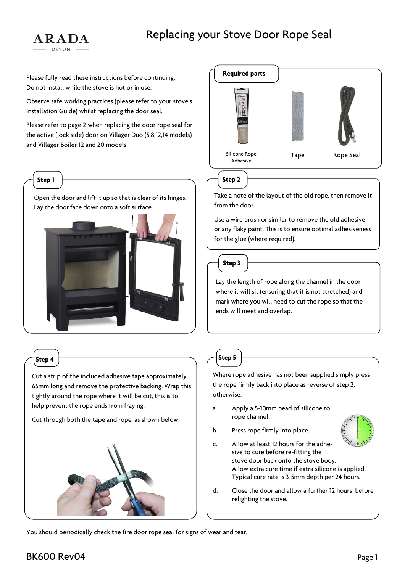# Replacing your Stove Door Rope Seal



Please fully read these instructions before continuing. Do not install while the stove is hot or in use.

Observe safe working practices (please refer to your stove's Installation Guide) whilst replacing the door seal.

Please refer to page 2 when replacing the door rope seal for the active (lock side) door on Villager Duo (5,8,12,14 models) and Villager Boiler 12 and 20 models

### **Step 1**

Open the door and lift it up so that is clear of its hinges. Lay the door face down onto a soft surface.



## **Step 4**

Cut a strip of the included adhesive tape approximately 65mm long and remove the protective backing. Wrap this tightly around the rope where it will be cut, this is to help prevent the rope ends from fraying.

Cut through both the tape and rope, as shown below.





**Step 2**

Take a note of the layout of the old rope, then remove it from the door.

Use a wire brush or similar to remove the old adhesive or any flaky paint. This is to ensure optimal adhesiveness for the glue (where required).



Lay the length of rope along the channel in the door where it will sit (ensuring that it is not stretched) and mark where you will need to cut the rope so that the ends will meet and overlap.

**Step 5**

Where rope adhesive has not been supplied simply press the rope firmly back into place as reverse of step 2, otherwise:

- a. Apply a 5-10mm bead of silicone to rope channel
- 
- b. Press rope firmly into place.
- c. Allow at least 12 hours for the adhesive to cure before re-fitting the stove door back onto the stove body. Allow extra cure time if extra silicone is applied. Typical cure rate is 3-5mm depth per 24 hours.
- d. Close the door and allow a further 12 hours before relighting the stove.

You should periodically check the fire door rope seal for signs of wear and tear.

## BK600 Rev04 Page 1